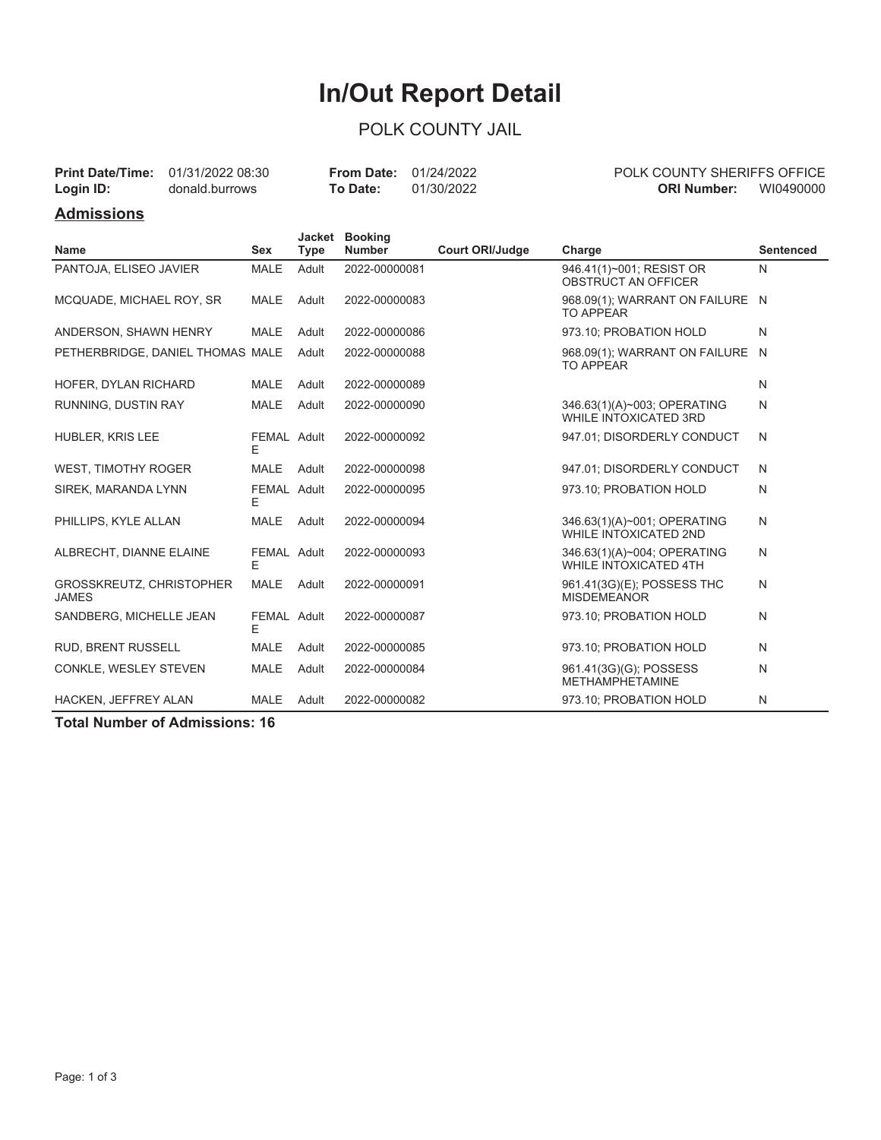# **In/Out Report Detail**

### POLK COUNTY JAIL

| Login ID:         | <b>Print Date/Time:</b> 01/31/2022 08:30<br>donald.burrows | To Date: | <b>From Date: 01/24/2022</b><br>01/30/2022 | <b>POLK COUNTY SHERIFFS OFFICE</b><br>WI0490000<br>ORI Number: |  |  |
|-------------------|------------------------------------------------------------|----------|--------------------------------------------|----------------------------------------------------------------|--|--|
| <b>Admissions</b> |                                                            |          |                                            |                                                                |  |  |

|                                                 |                  |             | Jacket Booking |                        |                                                             |                  |
|-------------------------------------------------|------------------|-------------|----------------|------------------------|-------------------------------------------------------------|------------------|
| <b>Name</b>                                     | <b>Sex</b>       | <b>Type</b> | <b>Number</b>  | <b>Court ORI/Judge</b> | Charge                                                      | <b>Sentenced</b> |
| PANTOJA, ELISEO JAVIER                          | <b>MALE</b>      | Adult       | 2022-00000081  |                        | 946.41(1)~001; RESIST OR<br><b>OBSTRUCT AN OFFICER</b>      | N                |
| MCQUADE, MICHAEL ROY, SR                        | <b>MALE</b>      | Adult       | 2022-00000083  |                        | 968.09(1); WARRANT ON FAILURE N<br><b>TO APPEAR</b>         |                  |
| ANDERSON, SHAWN HENRY                           | <b>MALE</b>      | Adult       | 2022-00000086  |                        | 973.10; PROBATION HOLD                                      | N                |
| PETHERBRIDGE, DANIEL THOMAS MALE                |                  | Adult       | 2022-00000088  |                        | 968.09(1); WARRANT ON FAILURE N<br><b>TO APPEAR</b>         |                  |
| HOFER, DYLAN RICHARD                            | <b>MALE</b>      | Adult       | 2022-00000089  |                        |                                                             | N                |
| RUNNING, DUSTIN RAY                             | <b>MALE</b>      | Adult       | 2022-00000090  |                        | 346.63(1)(A)~003; OPERATING<br><b>WHILE INTOXICATED 3RD</b> | N                |
| HUBLER, KRIS LEE                                | FEMAL Adult<br>Е |             | 2022-00000092  |                        | 947.01; DISORDERLY CONDUCT                                  | N                |
| <b>WEST, TIMOTHY ROGER</b>                      | <b>MALE</b>      | Adult       | 2022-00000098  |                        | 947.01; DISORDERLY CONDUCT                                  | N                |
| SIREK, MARANDA LYNN                             | FEMAL Adult<br>Е |             | 2022-00000095  |                        | 973.10: PROBATION HOLD                                      | N                |
| PHILLIPS, KYLE ALLAN                            | <b>MALE</b>      | Adult       | 2022-00000094  |                        | 346.63(1)(A)~001; OPERATING<br><b>WHILE INTOXICATED 2ND</b> | N                |
| ALBRECHT, DIANNE ELAINE                         | FEMAL Adult<br>Е |             | 2022-00000093  |                        | 346.63(1)(A)~004; OPERATING<br><b>WHILE INTOXICATED 4TH</b> | N                |
| <b>GROSSKREUTZ, CHRISTOPHER</b><br><b>JAMES</b> | <b>MALE</b>      | Adult       | 2022-00000091  |                        | 961.41(3G)(E); POSSESS THC<br><b>MISDEMEANOR</b>            | N                |
| SANDBERG, MICHELLE JEAN                         | FEMAL Adult<br>Е |             | 2022-00000087  |                        | 973.10; PROBATION HOLD                                      | N                |
| RUD, BRENT RUSSELL                              | <b>MALE</b>      | Adult       | 2022-00000085  |                        | 973.10; PROBATION HOLD                                      | N                |
| CONKLE, WESLEY STEVEN                           | <b>MALE</b>      | Adult       | 2022-00000084  |                        | 961.41(3G)(G); POSSESS<br><b>METHAMPHETAMINE</b>            | N                |
| HACKEN, JEFFREY ALAN                            | <b>MALE</b>      | Adult       | 2022-00000082  |                        | 973.10; PROBATION HOLD                                      | N                |

**Total Number of Admissions: 16**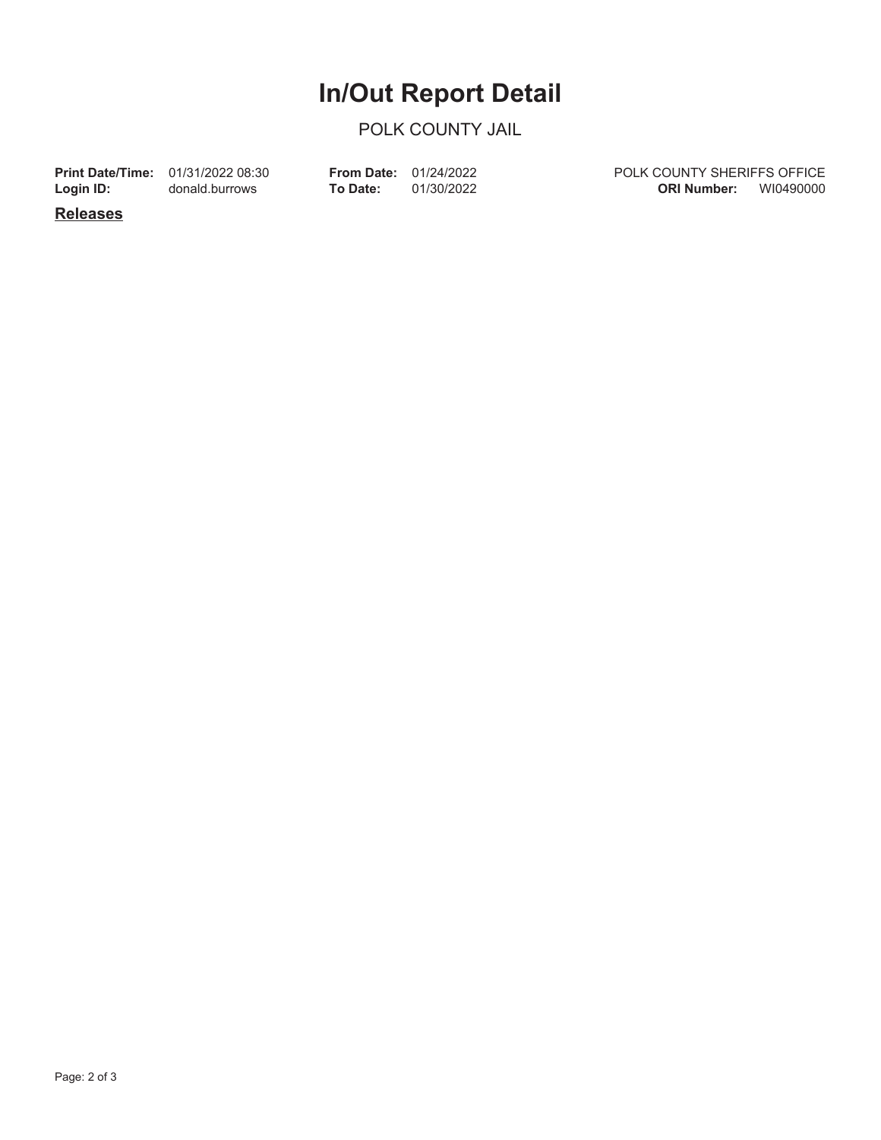## **In/Out Report Detail**

#### POLK COUNTY JAIL

**Login ID:**

**Print Date/Time:** 01/31/2022 08:30 donald.burrows

**To Date:** 01/30/2022 **From Date:** 01/24/2022 POLK COUNTY SHERIFFS OFFICE **ORI Number:** WI0490000

**Releases**